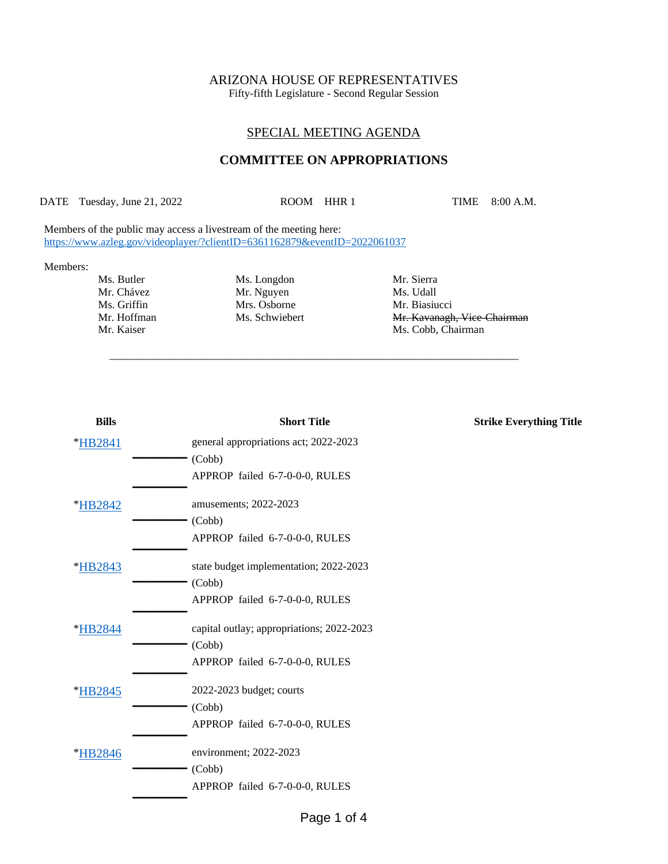# ARIZONA HOUSE OF REPRESENTATIVES

Fifty-fifth Legislature - Second Regular Session

## SPECIAL MEETING AGENDA

## **COMMITTEE ON APPROPRIATIONS**

DATE Tuesday, June 21, 2022 ROOM HHR 1 TIME 8:00 A.M.

\_\_\_\_\_\_\_\_\_\_\_\_\_\_\_\_\_\_\_\_\_\_\_\_\_\_\_\_\_\_\_\_\_\_\_\_\_\_\_\_\_\_\_\_\_\_\_\_\_\_\_\_\_\_\_\_\_\_\_\_\_\_\_\_\_\_\_\_\_\_\_\_\_\_\_

Members of the public may access a livestream of the meeting here: <https://www.azleg.gov/videoplayer/?clientID=6361162879&eventID=2022061037>

#### Members:

Ms. Butler Ms. Longdon Mr. Sierra Mr. Chávez Mr. Nguyen Ms. Udall<br>
Ms. Griffin Mrs. Osborne Mr. Biasiu Mrs. Osborne Mr. Biasiucci

Mr. Hoffman Ms. Schwiebert Mr. Kavanagh, Vice-Chairman Mr. Kaiser Ms. Cobb, Chairman

| <b>Bills</b>    | <b>Short Title</b>                        | <b>Strike Everything Title</b> |
|-----------------|-------------------------------------------|--------------------------------|
| *HB2841         | general appropriations act; 2022-2023     |                                |
|                 | (Cobb)                                    |                                |
|                 | APPROP failed 6-7-0-0-0, RULES            |                                |
| <i>*</i> HB2842 | amusements; 2022-2023                     |                                |
|                 | (Cobb)                                    |                                |
|                 | APPROP failed 6-7-0-0-0, RULES            |                                |
| *HB2843         | state budget implementation; 2022-2023    |                                |
|                 | (Cobb)                                    |                                |
|                 | APPROP failed 6-7-0-0-0, RULES            |                                |
| *HB2844         | capital outlay; appropriations; 2022-2023 |                                |
|                 | (Cobb)                                    |                                |
|                 | APPROP failed 6-7-0-0-0, RULES            |                                |
| *HB2845         | 2022-2023 budget; courts                  |                                |
|                 | (Cobb)                                    |                                |
|                 | APPROP failed 6-7-0-0-0, RULES            |                                |
| *HB2846         | environment; 2022-2023                    |                                |
|                 | (Cobb)                                    |                                |
|                 | APPROP failed 6-7-0-0-0, RULES            |                                |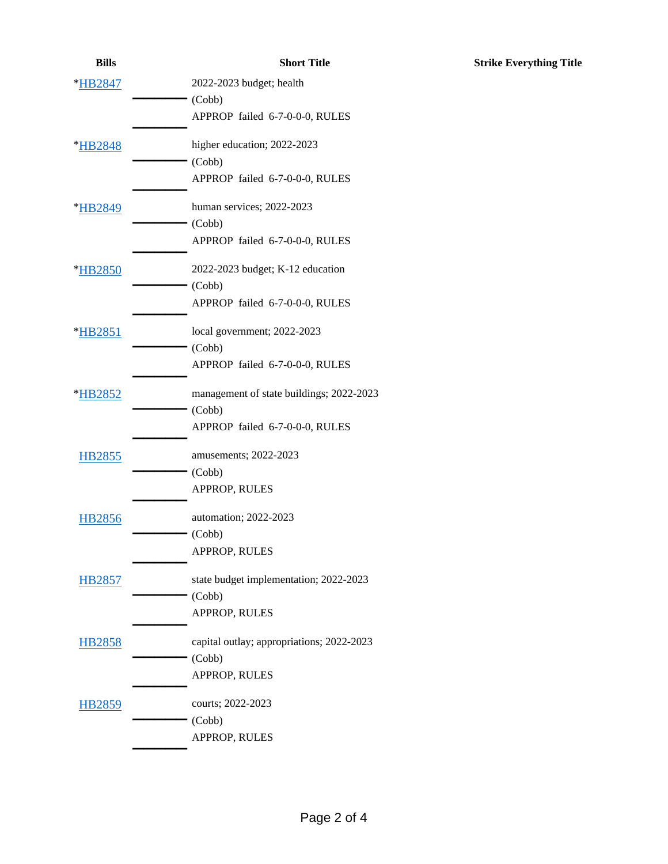| <b>Bills</b>  | <b>Short Title</b>                        |
|---------------|-------------------------------------------|
| *HB2847       | 2022-2023 budget; health                  |
|               | (Cobb)                                    |
|               | APPROP failed 6-7-0-0-0, RULES            |
| *HB2848       | higher education; 2022-2023               |
|               | (Cobb)                                    |
|               | APPROP failed 6-7-0-0-0, RULES            |
| *HB2849       | human services; 2022-2023                 |
|               | (Cobb)                                    |
|               | APPROP failed 6-7-0-0-0, RULES            |
| *HB2850       | 2022-2023 budget; K-12 education          |
|               | (Cobb)                                    |
|               | APPROP failed 6-7-0-0-0, RULES            |
| *HB2851       | local government; 2022-2023               |
|               | (Cobb)                                    |
|               | APPROP failed 6-7-0-0-0, RULES            |
| *HB2852       | management of state buildings; 2022-2023  |
|               | (Cobb)                                    |
|               | APPROP failed 6-7-0-0-0, RULES            |
| <b>HB2855</b> | amusements; 2022-2023                     |
|               | (Cobb)                                    |
|               | APPROP, RULES                             |
| <b>HB2856</b> | automation; 2022-2023                     |
|               | (Cobb)                                    |
|               | APPROP, RULES                             |
| <b>HB2857</b> | state budget implementation; 2022-2023    |
|               | (Cobb)                                    |
|               | APPROP, RULES                             |
| <b>HB2858</b> | capital outlay; appropriations; 2022-2023 |
|               | (Cobb)                                    |
|               | APPROP, RULES                             |
| <b>HB2859</b> | courts; 2022-2023                         |
|               | (Cobb)                                    |
|               | APPROP, RULES                             |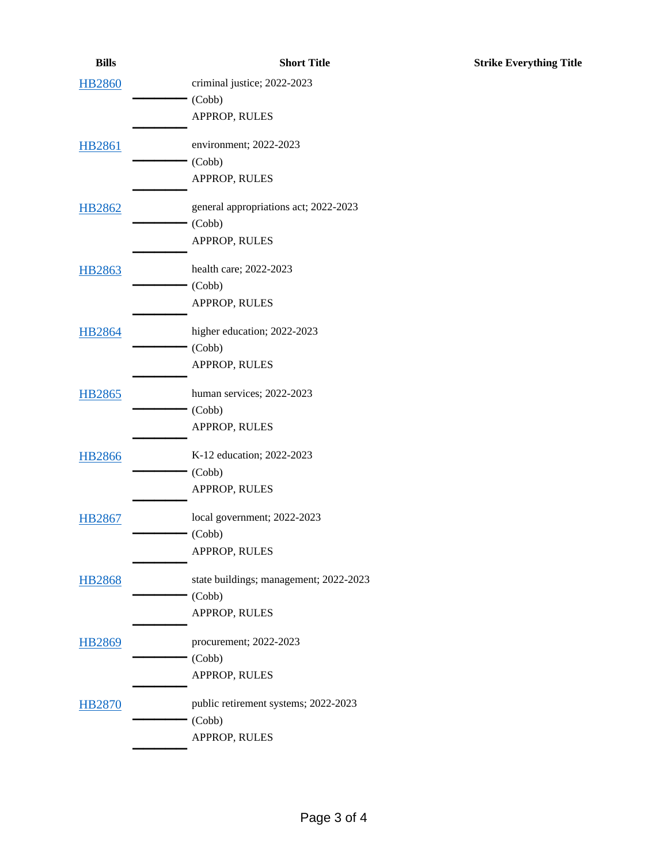| <b>Bills</b>  | <b>Short Title</b>                     | <b>Strike Everything Title</b> |
|---------------|----------------------------------------|--------------------------------|
| <b>HB2860</b> | criminal justice; 2022-2023            |                                |
|               | (Cobb)                                 |                                |
|               | APPROP, RULES                          |                                |
| <b>HB2861</b> | environment; 2022-2023                 |                                |
|               | (Cobb)                                 |                                |
|               | APPROP, RULES                          |                                |
| <b>HB2862</b> | general appropriations act; 2022-2023  |                                |
|               | (Cobb)                                 |                                |
|               | APPROP, RULES                          |                                |
| <b>HB2863</b> | health care; 2022-2023                 |                                |
|               | (Cobb)                                 |                                |
|               | APPROP, RULES                          |                                |
| <b>HB2864</b> | higher education; 2022-2023            |                                |
|               | (Cobb)                                 |                                |
|               | APPROP, RULES                          |                                |
| <b>HB2865</b> | human services; 2022-2023              |                                |
|               | (Cobb)                                 |                                |
|               | APPROP, RULES                          |                                |
| <b>HB2866</b> | K-12 education; 2022-2023              |                                |
|               | (Cobb)                                 |                                |
|               | APPROP, RULES                          |                                |
| <b>HB2867</b> | local government; 2022-2023            |                                |
|               | (Cobb)                                 |                                |
|               | APPROP, RULES                          |                                |
| <b>HB2868</b> | state buildings; management; 2022-2023 |                                |
|               | (Cobb)                                 |                                |
|               | APPROP, RULES                          |                                |
| <b>HB2869</b> | procurement; 2022-2023                 |                                |
|               | (Cobb)                                 |                                |
|               | APPROP, RULES                          |                                |
| <b>HB2870</b> | public retirement systems; 2022-2023   |                                |
|               | (Cobb)                                 |                                |
|               | APPROP, RULES                          |                                |